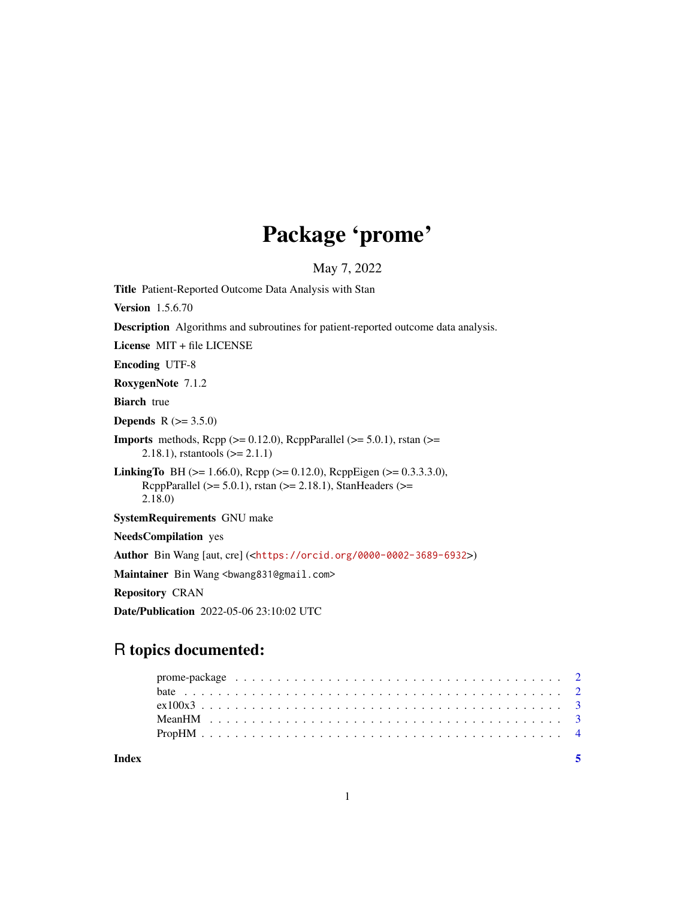## Package 'prome'

May 7, 2022

Title Patient-Reported Outcome Data Analysis with Stan Version 1.5.6.70 Description Algorithms and subroutines for patient-reported outcome data analysis. License MIT + file LICENSE Encoding UTF-8 RoxygenNote 7.1.2 **Biarch** true **Depends**  $R (= 3.5.0)$ **Imports** methods, Rcpp ( $>= 0.12.0$ ), RcppParallel ( $>= 5.0.1$ ), rstan ( $>=$ 2.18.1), rstantools (>= 2.1.1) **LinkingTo** BH ( $>= 1.66.0$ ), Rcpp ( $>= 0.12.0$ ), RcppEigen ( $>= 0.3.3.3.0$ ), RcppParallel ( $>= 5.0.1$ ), rstan ( $>= 2.18.1$ ), StanHeaders ( $>=$ 2.18.0) SystemRequirements GNU make NeedsCompilation yes Author Bin Wang [aut, cre] (<<https://orcid.org/0000-0002-3689-6932>>) Maintainer Bin Wang <br/>bwang831@gmail.com> Repository CRAN Date/Publication 2022-05-06 23:10:02 UTC

### R topics documented:

| Index |  |  |  |  |  |  |  |  |  |  |  |  |  |  |  |  |  |  |
|-------|--|--|--|--|--|--|--|--|--|--|--|--|--|--|--|--|--|--|
|       |  |  |  |  |  |  |  |  |  |  |  |  |  |  |  |  |  |  |
|       |  |  |  |  |  |  |  |  |  |  |  |  |  |  |  |  |  |  |
|       |  |  |  |  |  |  |  |  |  |  |  |  |  |  |  |  |  |  |
|       |  |  |  |  |  |  |  |  |  |  |  |  |  |  |  |  |  |  |
|       |  |  |  |  |  |  |  |  |  |  |  |  |  |  |  |  |  |  |

1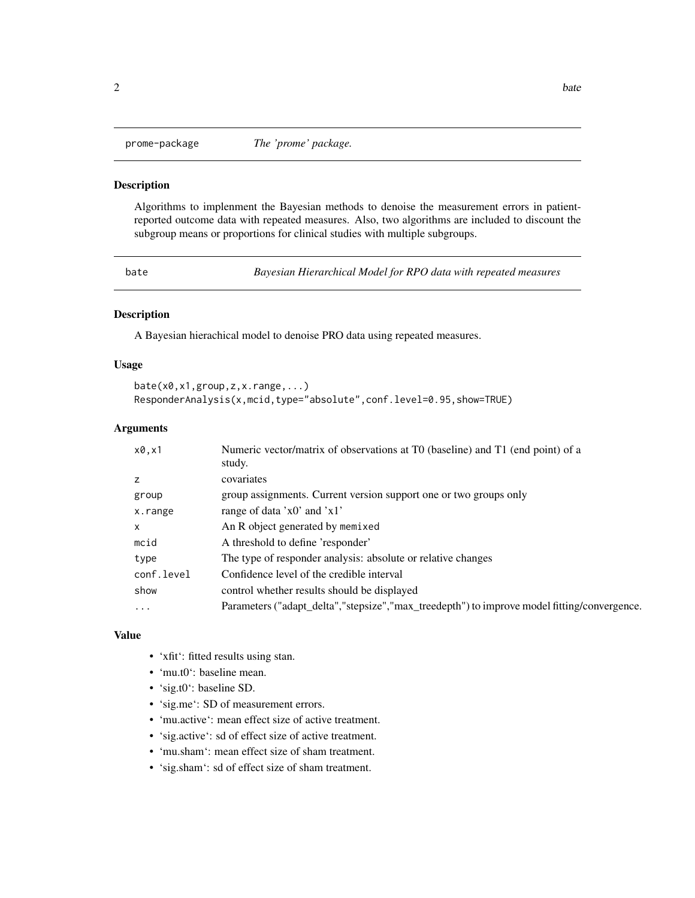<span id="page-1-0"></span>

#### **Description**

Algorithms to implenment the Bayesian methods to denoise the measurement errors in patientreported outcome data with repeated measures. Also, two algorithms are included to discount the subgroup means or proportions for clinical studies with multiple subgroups.

bate *Bayesian Hierarchical Model for RPO data with repeated measures*

#### Description

A Bayesian hierachical model to denoise PRO data using repeated measures.

#### Usage

```
bate(x0,x1,group,z,x.range,...)
ResponderAnalysis(x,mcid,type="absolute",conf.level=0.95,show=TRUE)
```
#### Arguments

| x0, x1       | Numeric vector/matrix of observations at T0 (baseline) and T1 (end point) of a<br>study.    |
|--------------|---------------------------------------------------------------------------------------------|
| Z            | covariates                                                                                  |
| group        | group assignments. Current version support one or two groups only                           |
| x.range      | range of data 'x0' and 'x1'                                                                 |
| $\mathsf{x}$ | An R object generated by memixed                                                            |
| mcid         | A threshold to define 'responder'                                                           |
| type         | The type of responder analysis: absolute or relative changes                                |
| conf.level   | Confidence level of the credible interval                                                   |
| show         | control whether results should be displayed                                                 |
| $\cdots$     | Parameters ("adapt_delta","stepsize","max_treedepth") to improve model fitting/convergence. |

#### Value

- 'xfit': fitted results using stan.
- 'mu.t0': baseline mean.
- 'sig.t0': baseline SD.
- 'sig.me': SD of measurement errors.
- 'mu.active': mean effect size of active treatment.
- 'sig.active': sd of effect size of active treatment.
- 'mu.sham': mean effect size of sham treatment.
- 'sig.sham': sd of effect size of sham treatment.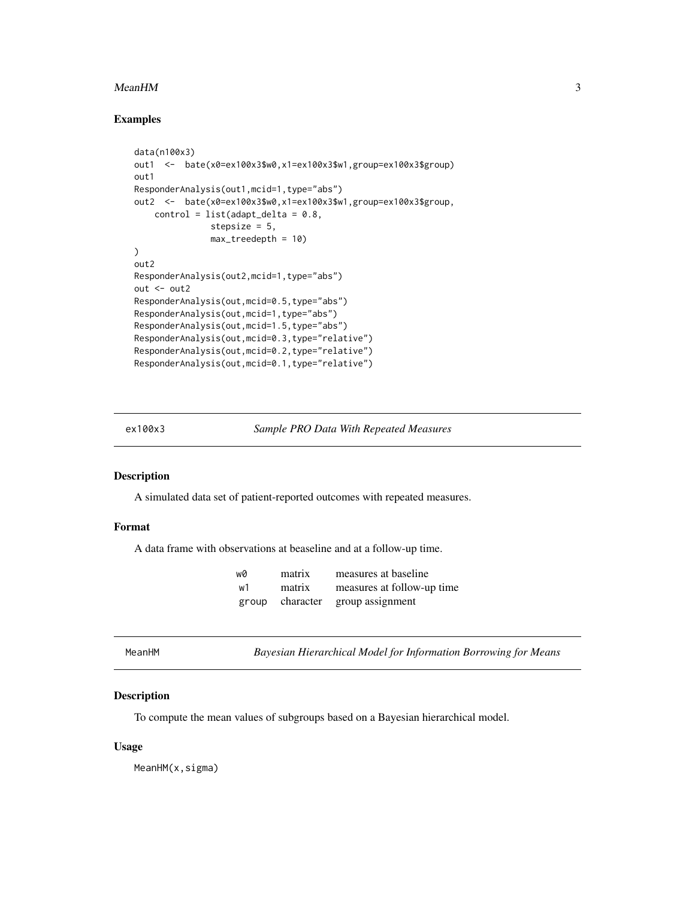#### <span id="page-2-0"></span> $MeanHM$  3

#### Examples

```
data(n100x3)
out1 <- bate(x0=ex100x3$w0,x1=ex100x3$w1,group=ex100x3$group)
out1
ResponderAnalysis(out1,mcid=1,type="abs")
out2 <- bate(x0=ex100x3$w0,x1=ex100x3$w1,group=ex100x3$group,
    control = list(adapt\_delta = 0.8,stepsize = 5,
               max_treedepth = 10)
)
out2
ResponderAnalysis(out2,mcid=1,type="abs")
out <- out2
ResponderAnalysis(out,mcid=0.5,type="abs")
ResponderAnalysis(out,mcid=1,type="abs")
ResponderAnalysis(out,mcid=1.5,type="abs")
ResponderAnalysis(out,mcid=0.3,type="relative")
ResponderAnalysis(out,mcid=0.2,type="relative")
ResponderAnalysis(out,mcid=0.1,type="relative")
```
ex100x3 *Sample PRO Data With Repeated Measures*

#### Description

A simulated data set of patient-reported outcomes with repeated measures.

#### Format

A data frame with observations at beaseline and at a follow-up time.

| wØ | matrix          | measures at baseline       |
|----|-----------------|----------------------------|
| w1 | matrix          | measures at follow-up time |
|    | group character | group assignment           |

MeanHM *Bayesian Hierarchical Model for Information Borrowing for Means*

#### Description

To compute the mean values of subgroups based on a Bayesian hierarchical model.

#### Usage

MeanHM(x, sigma)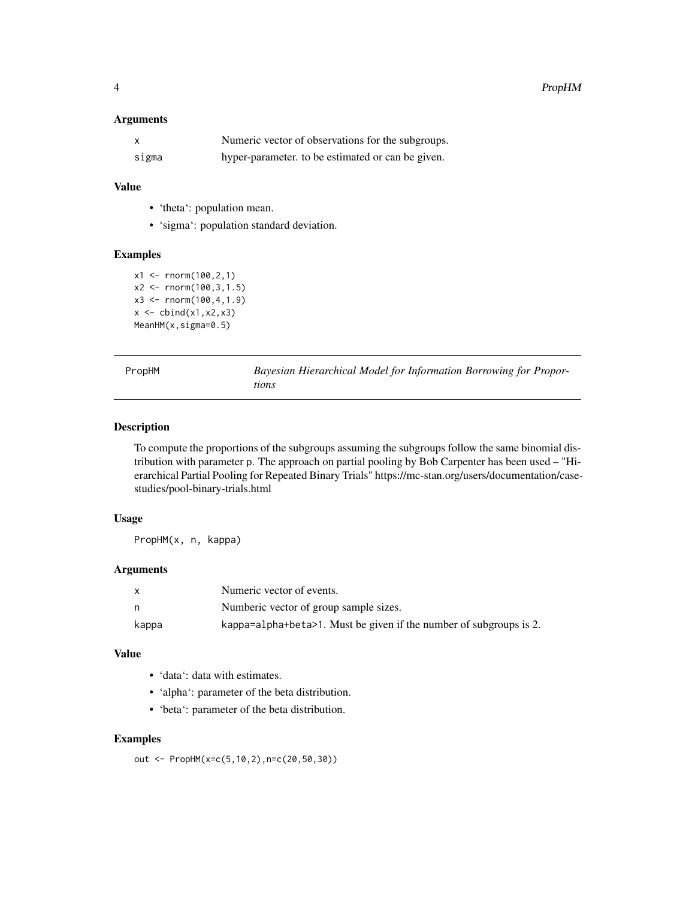#### <span id="page-3-0"></span>Arguments

|       | Numeric vector of observations for the subgroups. |
|-------|---------------------------------------------------|
| sigma | hyper-parameter, to be estimated or can be given. |

### Value

- 'theta': population mean.
- 'sigma': population standard deviation.

#### Examples

```
x1 <- rnorm(100, 2, 1)x2 \le rnorm(100, 3, 1.5)
x3 \le rnorm(100,4,1.9)
x \leftarrow \text{cbind}(x1, x2, x3)MeanHM(x,sigma=0.5)
```
PropHM *Bayesian Hierarchical Model for Information Borrowing for Proportions*

#### Description

To compute the proportions of the subgroups assuming the subgroups follow the same binomial distribution with parameter p. The approach on partial pooling by Bob Carpenter has been used – "Hierarchical Partial Pooling for Repeated Binary Trials" https://mc-stan.org/users/documentation/casestudies/pool-binary-trials.html

#### Usage

PropHM(x, n, kappa)

#### Arguments

|       | Numeric vector of events.                                          |
|-------|--------------------------------------------------------------------|
| n,    | Numberic vector of group sample sizes.                             |
| kappa | kappa=alpha+beta>1. Must be given if the number of subgroups is 2. |

#### Value

- 'data': data with estimates.
- 'alpha': parameter of the beta distribution.
- 'beta': parameter of the beta distribution.

#### Examples

out <- PropHM(x=c(5,10,2),n=c(20,50,30))